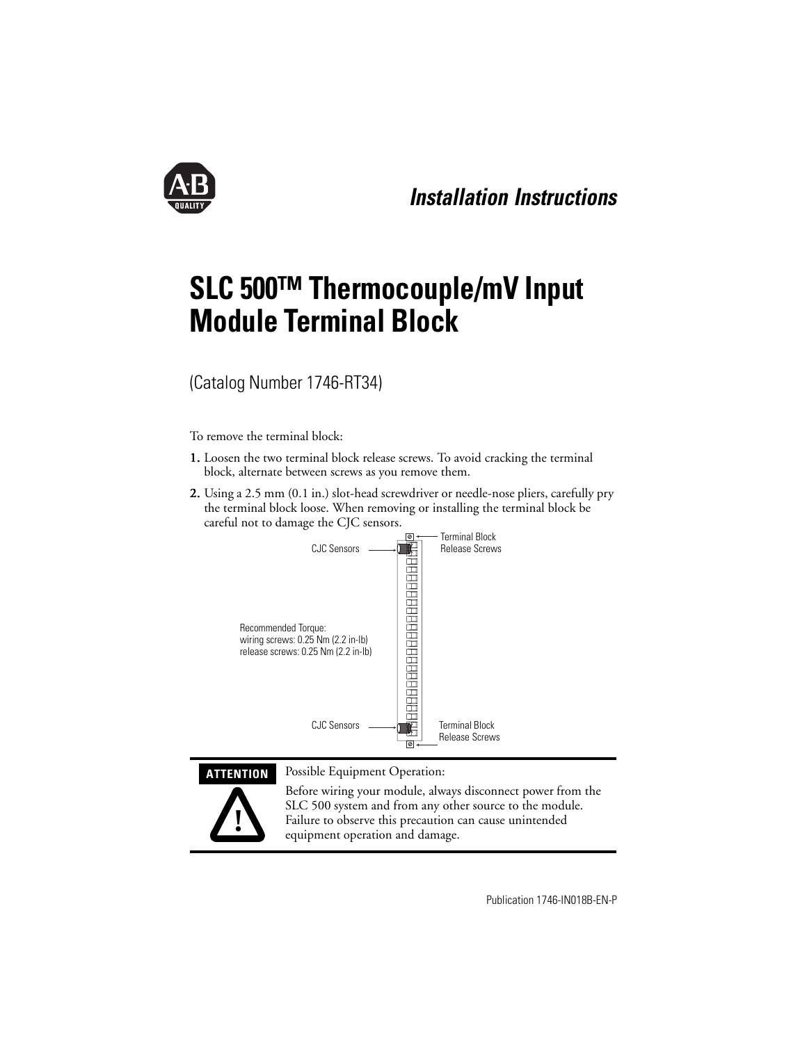

# **SLC 500™ Thermocouple/mV Input Module Terminal Block**

(Catalog Number 1746-RT34)

To remove the terminal block:

- 1. Loosen the two terminal block release screws. To avoid cracking the terminal block, alternate between screws as you remove them.
- 2. Using a 2.5 mm (0.1 in.) slot-head screwdriver or needle-nose pliers, carefully pry 2. the terminal block loose. When removing or installing the terminal block be careful not to damage the CJC sensors.



**ATTENTION** Possible Equipment Operation:



Before wiring your module, always disconnect power from the SLC 500 system and from any other source to the module. Failure to observe this precaution can cause unintended equipment operation and damage.